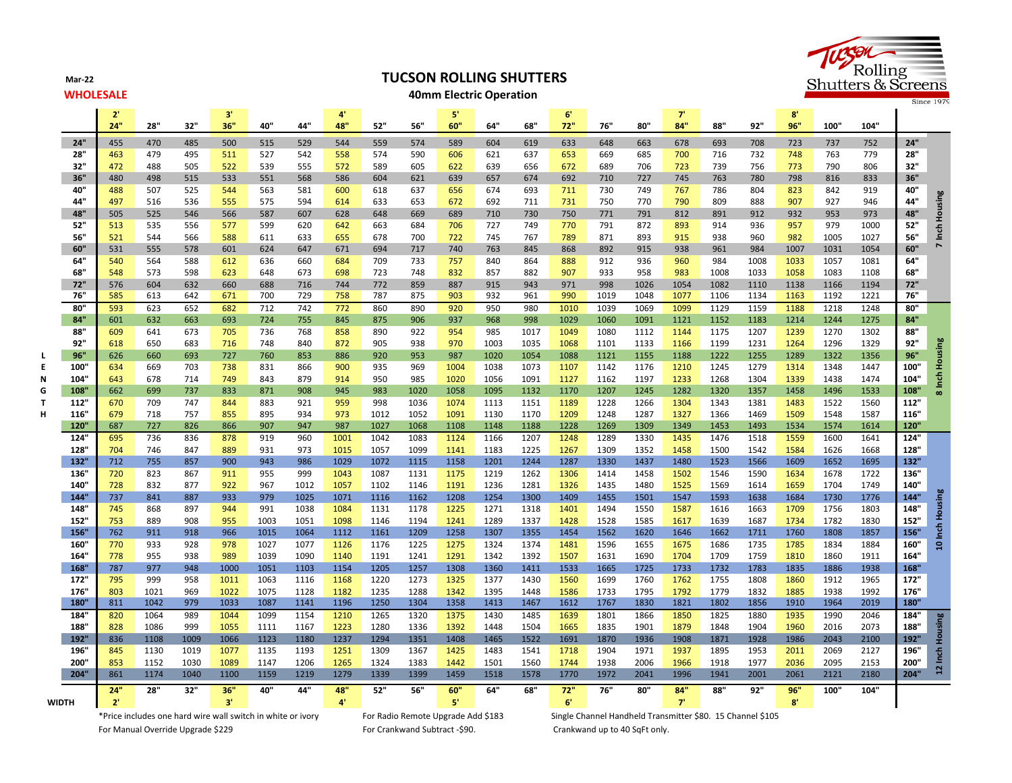**Mar-22**

# **TUCSON ROLLING SHUTTERS**

### **WHOLESALE 40mm Electric Operation**



|              |                    | 2 <sup>1</sup><br>24" | 28"          | 32"        | 3'<br>36"    | 40"          | 44"          | 4'<br>48"    | 52"          | 56"          | ${\bf 5}^*$<br>60" | 64"          | 68"          | -6'<br>72"   | 76"          | 80"          | -7'<br>84"   | 88"          | 92"          | 8'<br>96"    | 100"         | 104"         |              |                 |
|--------------|--------------------|-----------------------|--------------|------------|--------------|--------------|--------------|--------------|--------------|--------------|--------------------|--------------|--------------|--------------|--------------|--------------|--------------|--------------|--------------|--------------|--------------|--------------|--------------|-----------------|
|              |                    |                       |              |            |              |              |              |              |              |              |                    |              |              |              |              |              |              |              |              |              |              |              |              |                 |
|              | 24"<br>28"         | 455<br>463            | 470<br>479   | 485<br>495 | 500<br>511   | 515<br>527   | 529<br>542   | 544<br>558   | 559<br>574   | 574<br>590   | 589<br>606         | 604<br>621   | 619<br>637   | 633<br>653   | 648<br>669   | 663<br>685   | 678<br>700   | 693<br>716   | 708<br>732   | 723<br>748   | 737<br>763   | 752<br>779   | 24"<br>28"   |                 |
|              | 32"                | 472                   | 488          | 505        | 522          | 539          | 555          | 572          | 589          | 605          | 622                | 639          | 656          | 672          | 689          | 706          | 723          | 739          | 756          | 773          | 790          | 806          | 32"          |                 |
|              | 36"                | 480                   | 498          | 515        | 533          | 551          | 568          | 586          | 604          | 621          | 639                | 657          | 674          | 692          | 710          | 727          | 745          | 763          | 780          | 798          | 816          | 833          | 36"          |                 |
|              | 40"                | 488                   | 507          | 525        | 544          | 563          | 581          | 600          | 618          | 637          | 656                | 674          | 693          | 711          | 730          | 749          | 767          | 786          | 804          | 823          | 842          | 919          | 40"          |                 |
|              | 44"                | 497                   | 516          | 536        | 555          | 575          | 594          | 614          | 633          | 653          | 672                | 692          | 711          | 731          | 750          | 770          | 790          | 809          | 888          | 907          | 927          | 946          | 44"          | 7 Inch Housing  |
|              | 48"                | 505                   | 525          | 546        | 566          | 587          | 607          | 628          | 648          | 669          | 689                | 710          | 730          | 750          | 771          | 791          | 812          | 891          | 912          | 932          | 953          | 973          | 48"          |                 |
|              | 52"                | 513                   | 535          | 556        | 577          | 599          | 620          | 642          | 663          | 684          | 706                | 727          | 749          | 770          | 791          | 872          | 893          | 914          | 936          | 957          | 979          | 1000         | 52"          |                 |
|              | 56"                | 521                   | 544          | 566        | 588          | 611          | 633          | 655          | 678          | 700          | 722                | 745          | 767          | 789          | 871          | 893          | 915          | 938          | 960          | 982          | 1005         | 1027         | 56"          |                 |
|              | 60"                | 531                   | 555          | 578        | 601          | 624          | 647          | 671          | 694          | 717          | 740                | 763          | 845          | 868          | 892          | 915          | 938          | 961          | 984          | 1007         | 1031         | 1054         | 60"          |                 |
|              | 64"                | 540                   | 564          | 588        | 612          | 636          | 660          | 684          | 709          | 733          | 757                | 840          | 864          | 888          | 912          | 936          | 960          | 984          | 1008         | 1033         | 1057         | 1081         | 64"          |                 |
|              | 68"<br>72"         | 548<br>576            | 573<br>604   | 598<br>632 | 623<br>660   | 648          | 673<br>716   | 698<br>744   | 723          | 748<br>859   | 832<br>887         | 857<br>915   | 882<br>943   | 907<br>971   | 933<br>998   | 958          | 983<br>1054  | 1008<br>1082 | 1033<br>1110 | 1058         | 1083<br>1166 | 1108<br>1194 | 68"<br>72"   |                 |
|              | 76"                | 585                   | 613          | 642        | 671          | 688<br>700   | 729          | 758          | 772<br>787   | 875          | 903                | 932          | 961          | 990          | 1019         | 1026<br>1048 | 1077         | 1106         | 1134         | 1138<br>1163 | 1192         | 1221         | 76"          |                 |
|              | 80"                | 593                   | 623          | 652        | 682          | 712          | 742          | 772          | 860          | 890          | 920                | 950          | 980          | 1010         | 1039         | 1069         | 1099         | 1129         | 1159         | 1188         | 1218         | 1248         | 80"          |                 |
|              | 84"                | 601                   | 632          | 663        | 693          | 724          | 755          | 845          | 875          | 906          | 937                | 968          | 998          | 1029         | 1060         | 1091         | 1121         | 1152         | 1183         | 1214         | 1244         | 1275         | 84"          |                 |
|              | 88"                | 609                   | 641          | 673        | 705          | 736          | 768          | 858          | 890          | 922          | 954                | 985          | 1017         | 1049         | 1080         | 1112         | 1144         | 1175         | 1207         | 1239         | 1270         | 1302         | 88"          |                 |
|              | 92"                | 618                   | 650          | 683        | 716          | 748          | 840          | 872          | 905          | 938          | 970                | 1003         | 1035         | 1068         | 1101         | 1133         | 1166         | 1199         | 1231         | 1264         | 1296         | 1329         | 92"          |                 |
|              | 96"                | 626                   | 660          | 693        | 727          | 760          | 853          | 886          | 920          | 953          | 987                | 1020         | 1054         | 1088         | 1121         | 1155         | 1188         | 1222         | 1255         | 1289         | 1322         | 1356         | 96"          |                 |
| E            | 100"               | 634                   | 669          | 703        | 738          | 831          | 866          | 900          | 935          | 969          | 1004               | 1038         | 1073         | 1107         | 1142         | 1176         | 1210         | 1245         | 1279         | 1314         | 1348         | 1447         | 100"         |                 |
|              | 104"               | 643                   | 678          | 714        | 749          | 843          | 879          | 914          | 950          | 985          | 1020               | 1056         | 1091         | 1127         | 1162         | 1197         | 1233         | 1268         | 1304         | 1339         | 1438         | 1474         | 104"         | 8 Inch Housing  |
| G            | 108                | 662                   | 699          | 737        | 833          | 871          | 908          | 945          | 983          | 1020         | 1058               | 1095         | 1132         | 1170         | 1207         | 1245         | 1282         | 1320         | 1357         | 1458         | 1496         | 1533         | 108'         |                 |
|              | 112"               | 670                   | 709          | 747        | 844          | 883          | 921          | 959          | 998          | 1036         | 1074               | 1113         | 1151         | 1189         | 1228         | 1266         | 1304         | 1343         | 1381         | 1483         | 1522         | 1560         | 112"         |                 |
|              | 116"               | 679                   | 718          | 757        | 855          | 895          | 934          | 973          | 1012         | 1052         | 1091               | 1130         | 1170         | 1209         | 1248         | 1287         | 1327         | 1366         | 1469         | 1509         | 1548         | 1587         | 116"         |                 |
|              | 120"               | 687                   | 727          | 826        | 866          | 907          | 947          | 987          | 1027         | 1068         | 1108               | 1148         | 1188         | 1228         | 1269         | 1309         | 1349         | 1453         | 1493         | 1534         | 1574         | 1614         | <b>120'</b>  |                 |
|              | 124<br>128         | 695<br>704            | 736<br>746   | 836<br>847 | 878<br>889   | 919<br>931   | 960<br>973   | 1001<br>1015 | 1042<br>1057 | 1083<br>1099 | 1124<br>1141       | 1166<br>1183 | 1207<br>1225 | 1248<br>1267 | 1289<br>1309 | 1330<br>1352 | 1435<br>1458 | 1476<br>1500 | 1518<br>1542 | 1559<br>1584 | 1600<br>1626 | 1641<br>1668 | 124"<br>128" |                 |
|              | 132"               | 712                   | 755          | 857        | 900          | 943          | 986          | 1029         | 1072         | 1115         | 1158               | 1201         | 1244         | 1287         | 1330         | 1437         | 1480         | 1523         | 1566         | 1609         | 1652         | 1695         | 132"         |                 |
|              | 136                | 720                   | 823          | 867        | 911          | 955          | 999          | 1043         | 1087         | 1131         | 1175               | 1219         | 1262         | 1306         | 1414         | 1458         | 1502         | 1546         | 1590         | 1634         | 1678         | 1722         | 136"         |                 |
|              | 140                | 728                   | 832          | 877        | 922          | 967          | 1012         | 1057         | 1102         | 1146         | 1191               | 1236         | 1281         | 1326         | 1435         | 1480         | 1525         | 1569         | 1614         | 1659         | 1704         | 1749         | 140"         |                 |
|              | 144                | 737                   | 841          | 887        | 933          | 979          | 1025         | 1071         | 1116         | 1162         | 1208               | 1254         | 1300         | 1409         | 1455         | 1501         | 1547         | 1593         | 1638         | 1684         | 1730         | 1776         | 144"         |                 |
|              | 148                | 745                   | 868          | 897        | 944          | 991          | 1038         | 1084         | 1131         | 1178         | 1225               | 1271         | 1318         | 1401         | 1494         | 1550         | 1587         | 1616         | 1663         | 1709         | 1756         | 1803         | 148"         | 10 Inch Housing |
|              | 152"               | 753                   | 889          | 908        | 955          | 1003         | 1051         | 1098         | 1146         | 1194         | 1241               | 1289         | 1337         | 1428         | 1528         | 1585         | 1617         | 1639         | 1687         | 1734         | 1782         | 1830         | 152"         |                 |
|              | 156                | 762                   | 911          | 918        | 966          | 1015         | 1064         | 1112         | 1161         | 1209         | 1258               | 1307         | 1355         | 1454         | 1562         | 1620         | 1646         | 1662         | 1711         | 1760         | 1808         | 1857         | 156"         |                 |
|              | 160                | 770                   | 933          | 928        | 978          | 1027         | 1077         | 1126         | 1176         | 1225         | 1275               | 1324         | 1374         | 1481         | 1596         | 1655         | 1675         | 1686         | 1735         | 1785         | 1834         | 1884         | 160"         |                 |
|              | 164                | 778                   | 955          | 938        | 989          | 1039         | 1090         | 1140         | 1191         | 1241         | 1291               | 1342         | 1392         | 1507         | 1631         | 1690         | 1704         | 1709         | 1759         | 1810         | 1860         | 1911         | 164"         |                 |
|              | 168"               | 787                   | 977          | 948        | 1000         | 1051         | 1103         | 1154         | 1205         | 1257         | 1308               | 1360         | 1411         | 1533         | 1665         | 1725         | 1733         | 1732         | 1783         | 1835         | 1886         | 1938         | 168"         |                 |
|              | 172"               | 795                   | 999          | 958        | 1011         | 1063         | 1116         | 1168         | 1220         | 1273         | 1325               | 1377         | 1430         | 1560         | 1699         | 1760         | 1762         | 1755         | 1808         | 1860         | 1912         | 1965         | 172"         |                 |
|              | 176"<br><b>180</b> | 803<br>811            | 1021<br>1042 | 969<br>979 | 1022<br>1033 | 1075<br>1087 | 1128<br>1141 | 1182<br>1196 | 1235<br>1250 | 1288<br>1304 | 1342<br>1358       | 1395<br>1413 | 1448<br>1467 | 1586<br>1612 | 1733<br>1767 | 1795<br>1830 | 1792<br>1821 | 1779<br>1802 | 1832<br>1856 | 1885<br>1910 | 1938<br>1964 | 1992<br>2019 | 176"<br>180" |                 |
|              | 184                | 820                   | 1064         | 989        | 1044         | 1099         | 1154         | 1210         | 1265         | 1320         | 1375               | 1430         | 1485         | 1639         | 1801         | 1866         | 1850         | 1825         | 1880         | 1935         | 1990         | 2046         | 184"         |                 |
|              | 188                | 828                   | 1086         | 999        | 1055         | 1111         | 1167         | 1223         | 1280         | 1336         | 1392               | 1448         | 1504         | 1665         | 1835         | 1901         | 1879         | 1848         | 1904         | 1960         | 2016         | 2073         | 188"         |                 |
|              | 192"               | 836                   | 1108         | 1009       | 1066         | 1123         | 1180         | 1237         | 1294         | 1351         | 1408               | 1465         | 1522         | 1691         | 1870         | 1936         | 1908         | 1871         | 1928         | 1986         | 2043         | 2100         | 192"         |                 |
|              | 196"               | 845                   | 1130         | 1019       | 1077         | 1135         | 1193         | 1251         | 1309         | 1367         | 1425               | 1483         | 1541         | 1718         | 1904         | 1971         | 1937         | 1895         | 1953         | 2011         | 2069         | 2127         | 196"         |                 |
|              | 200"               | 853                   | 1152         | 1030       | 1089         | 1147         | 1206         | 1265         | 1324         | 1383         | 1442               | 1501         | 1560         | 1744         | 1938         | 2006         | 1966         | 1918         | 1977         | 2036         | 2095         | 2153         | 200"         | 12 Inch Housing |
|              | 204"               | 861                   | 1174         | 1040       | 1100         | 1159         | 1219         | 1279         | 1339         | 1399         | 1459               | 1518         | 1578         | 1770         | 1972         | 2041         | 1996         | 1941         | 2001         | 2061         | 2121         | 2180         | 204"         |                 |
|              |                    | 24"                   | 28"          | 32"        | 36"          | 40"          | 44"          | 48"          | 52"          | 56"          | 60"                | 64"          | 68"          | 72"          | 76"          | 80"          | 84"          | 88"          | 92"          | 96"          | 100          | 104"         |              |                 |
| <b>WIDTH</b> |                    | 2'                    |              |            | 3'           |              |              | 4'           |              |              | $5^{\circ}$        |              |              | 6'           |              |              | 7'           |              |              | 8'           |              |              |              |                 |

For Manual Override Upgrade \$229 For Crankwand Subtract -\$90. Crankwand up to 40 SqFt only.

\*Price includes one hard wire wall switch in white or ivory For Radio Remote Upgrade Add \$183 Single Channel Handheld Transmitter \$80. 15 Channel \$105